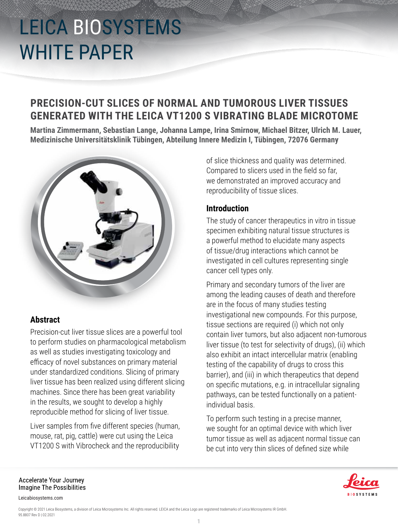### **PRECISION-CUT SLICES OF NORMAL AND TUMOROUS LIVER TISSUES GENERATED WITH THE LEICA VT1200 S VIBRATING BLADE MICROTOME**

**Martina Zimmermann, Sebastian Lange, Johanna Lampe, Irina Smirnow, Michael Bitzer, Ulrich M. Lauer, Medizinische Universitätsklinik Tübingen, Abteilung Innere Medizin I, Tübingen, 72076 Germany**



### **Abstract**

Precision-cut liver tissue slices are a powerful tool to perform studies on pharmacological metabolism as well as studies investigating toxicology and efficacy of novel substances on primary material under standardized conditions. Slicing of primary liver tissue has been realized using different slicing machines. Since there has been great variability in the results, we sought to develop a highly reproducible method for slicing of liver tissue.

Liver samples from five different species (human, mouse, rat, pig, cattle) were cut using the Leica VT1200 S with Vibrocheck and the reproducibility

of slice thickness and quality was determined. Compared to slicers used in the field so far, we demonstrated an improved accuracy and reproducibility of tissue slices.

### **Introduction**

The study of cancer therapeutics in vitro in tissue specimen exhibiting natural tissue structures is a powerful method to elucidate many aspects of tissue/drug interactions which cannot be investigated in cell cultures representing single cancer cell types only.

Primary and secondary tumors of the liver are among the leading causes of death and therefore are in the focus of many studies testing investigational new compounds. For this purpose, tissue sections are required (i) which not only contain liver tumors, but also adjacent non-tumorous liver tissue (to test for selectivity of drugs), (ii) which also exhibit an intact intercellular matrix (enabling testing of the capability of drugs to cross this barrier), and (iii) in which therapeutics that depend on specific mutations, e.g. in intracellular signaling pathways, can be tested functionally on a patientindividual basis.

To perform such testing in a precise manner, we sought for an optimal device with which liver tumor tissue as well as adjacent normal tissue can be cut into very thin slices of defined size while



Accelerate Your Journey **Imagine The Possibilities** 

Leicabiosystems.com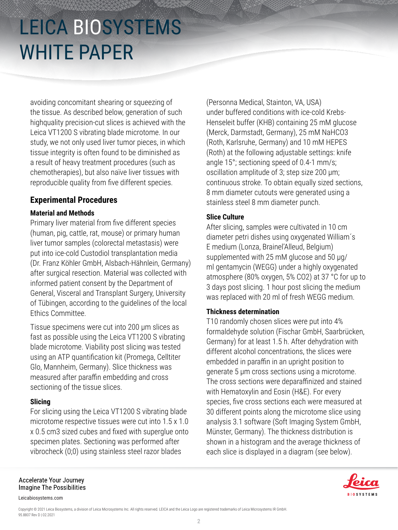avoiding concomitant shearing or squeezing of the tissue. As described below, generation of such highquality precision-cut slices is achieved with the Leica VT1200 S vibrating blade microtome. In our study, we not only used liver tumor pieces, in which tissue integrity is often found to be diminished as a result of heavy treatment procedures (such as chemotherapies), but also naïve liver tissues with reproducible quality from five different species.

### **Experimental Procedures**

#### **Material and Methods**

Primary liver material from five different species (human, pig, cattle, rat, mouse) or primary human liver tumor samples (colorectal metastasis) were put into ice-cold Custodiol transplantation media (Dr. Franz Köhler GmbH, Alsbach-Hähnlein, Germany) after surgical resection. Material was collected with informed patient consent by the Department of General, Visceral and Transplant Surgery, University of Tübingen, according to the guidelines of the local Ethics Committee.

Tissue specimens were cut into 200 μm slices as fast as possible using the Leica VT1200 S vibrating blade microtome. Viability post slicing was tested using an ATP quantification kit (Promega, Celltiter Glo, Mannheim, Germany). Slice thickness was measured after paraffin embedding and cross sectioning of the tissue slices.

#### **Slicing**

For slicing using the Leica VT1200 S vibrating blade microtome respective tissues were cut into 1.5 x 1.0 x 0.5 cm3 sized cubes and fixed with superglue onto specimen plates. Sectioning was performed after vibrocheck (0;0) using stainless steel razor blades

(Personna Medical, Stainton, VA, USA) under buffered conditions with ice-cold Krebs-Henseleit buffer (KHB) containing 25 mM glucose (Merck, Darmstadt, Germany), 25 mM NaHCO3 (Roth, Karlsruhe, Germany) and 10 mM HEPES (Roth) at the following adjustable settings: knife angle 15°; sectioning speed of 0.4-1 mm/s; oscillation amplitude of 3; step size 200 μm; continuous stroke. To obtain equally sized sections, 8 mm diameter cutouts were generated using a stainless steel 8 mm diameter punch.

#### **Slice Culture**

After slicing, samples were cultivated in 10 cm diameter petri dishes using oxygenated William´s E medium (Lonza, Brainel'Alleud, Belgium) supplemented with 25 mM glucose and 50 μg/ ml gentamycin (WEGG) under a highly oxygenated atmosphere (80% oxygen, 5% CO2) at 37 °C for up to 3 days post slicing. 1 hour post slicing the medium was replaced with 20 ml of fresh WEGG medium.

#### **Thickness determination**

T10 randomly chosen slices were put into 4% formaldehyde solution (Fischar GmbH, Saarbrücken, Germany) for at least 1.5 h. After dehydration with different alcohol concentrations, the slices were embedded in paraffin in an upright position to generate 5 μm cross sections using a microtome. The cross sections were deparaffinized and stained with Hematoxylin and Eosin (H&E). For every species, five cross sections each were measured at 30 different points along the microtome slice using analysis 3.1 software (Soft Imaging System GmbH, Münster, Germany). The thickness distribution is shown in a histogram and the average thickness of each slice is displayed in a diagram (see below).



Leicabiosystems.com

Copyright © 2021 Leica Biosystems, a division of Leica Microsystems Inc. All rights reserved. LEICA and the Leica Logo are registered trademarks of Leica Microsystems IR GmbH. 95.8807 Rev D | 02.2021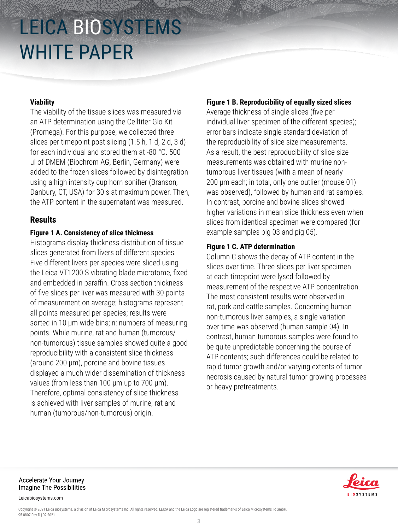#### **Viability**

The viability of the tissue slices was measured via an ATP determination using the Celltiter Glo Kit (Promega). For this purpose, we collected three slices per timepoint post slicing (1.5 h, 1 d, 2 d, 3 d) for each individual and stored them at -80 °C. 500 μl of DMEM (Biochrom AG, Berlin, Germany) were added to the frozen slices followed by disintegration using a high intensity cup horn sonifier (Branson, Danbury, CT, USA) for 30 s at maximum power. Then, the ATP content in the supernatant was measured.

#### **Results**

#### **Figure 1 A. Consistency of slice thickness**

Histograms display thickness distribution of tissue slices generated from livers of different species. Five different livers per species were sliced using the Leica VT1200 S vibrating blade microtome, fixed and embedded in paraffin. Cross section thickness of five slices per liver was measured with 30 points of measurement on average; histograms represent all points measured per species; results were sorted in 10 μm wide bins; n: numbers of measuring points. While murine, rat and human (tumorous/ non-tumorous) tissue samples showed quite a good reproducibility with a consistent slice thickness (around 200 μm), porcine and bovine tissues displayed a much wider dissemination of thickness values (from less than 100 μm up to 700 μm). Therefore, optimal consistency of slice thickness is achieved with liver samples of murine, rat and human (tumorous/non-tumorous) origin.

#### **Figure 1 B. Reproducibility of equally sized slices**

Average thickness of single slices (five per individual liver specimen of the different species); error bars indicate single standard deviation of the reproducibility of slice size measurements. As a result, the best reproducibility of slice size measurements was obtained with murine nontumorous liver tissues (with a mean of nearly 200 μm each; in total, only one outlier (mouse 01) was observed), followed by human and rat samples. In contrast, porcine and bovine slices showed higher variations in mean slice thickness even when slices from identical specimen were compared (for example samples pig 03 and pig 05).

#### **Figure 1 C. ATP determination**

Column C shows the decay of ATP content in the slices over time. Three slices per liver specimen at each timepoint were lysed followed by measurement of the respective ATP concentration. The most consistent results were observed in rat, pork and cattle samples. Concerning human non-tumorous liver samples, a single variation over time was observed (human sample 04). In contrast, human tumorous samples were found to be quite unpredictable concerning the course of ATP contents; such differences could be related to rapid tumor growth and/or varying extents of tumor necrosis caused by natural tumor growing processes or heavy pretreatments.



Accelerate Your Journey **Imagine The Possibilities** 

Leicabiosystems.com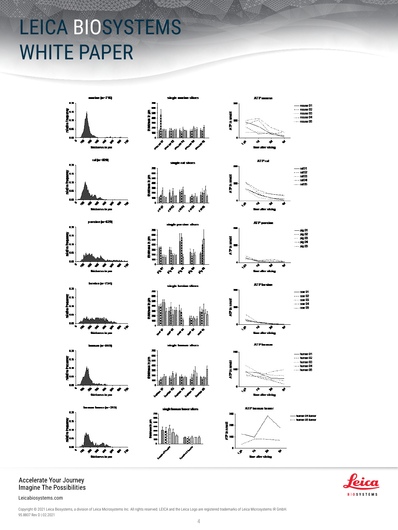

## Accelerate Your Journey<br>Imagine The Possibilities



Leicabiosystems.com

Copyright © 2021 Leica Biosystems, a division of Leica Microsystems Inc. All rights reserved. LEICA and the Leica Logo are registered trademarks of Leica Microsystems IR GmbH. 95.8807 Rev D | 02.2021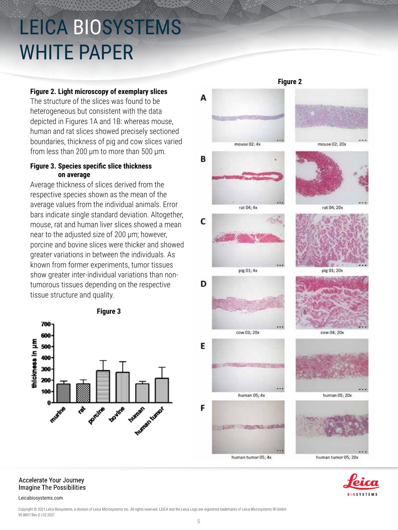#### **Figure 2. Light microscopy of exemplary slices**

The structure of the slices was found to be heterogeneous but consistent with the data depicted in Figures 1A and 1B: whereas mouse, human and rat slices showed precisely sectioned boundaries, thickness of pig and cow slices varied from less than 200 μm to more than 500 μm.

#### **Figure 3. Species specific slice thickness on average**

Average thickness of slices derived from the respective species shown as the mean of the average values from the individual animals. Error bars indicate single standard deviation. Altogether, mouse, rat and human liver slices showed a mean near to the adjusted size of 200 μm; however, porcine and bovine slices were thicker and showed greater variations in between the individuals. As known from former experiments, tumor tissues show greater inter-individual variations than nontumorous tissues depending on the respective tissue structure and quality.



#### Accelerate Your Journey **Imagine The Possibilities**

Leicabiosystems.com

pig 01; 4x pig 01; 20x D cow 01:20x cow 04: 20x E human 05; 4x F **JOHN WEIGHT SELLA** human tumor 05; 4x



**Figure 2**



Copyright © 2021 Leica Biosystems, a division of Leica Microsystems Inc. All rights reserved. LEICA and the Leica Logo are registered trademarks of Leica Microsystems IR GmbH 95.8807 Rev D | 02.2021

Δ

C